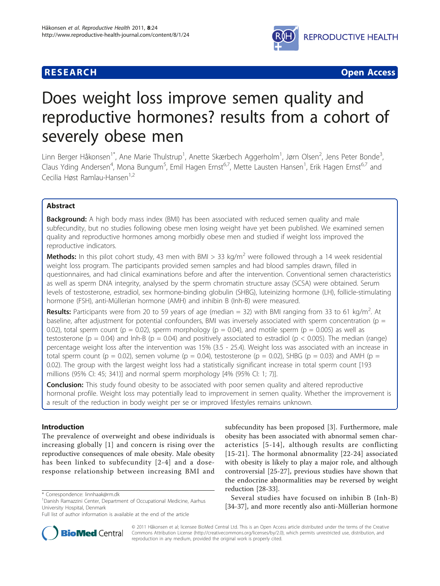## **RESEARCH CHRISTIAN CONSUMING CONTRACT CONSUMING CONSUMING CONSUMING CONSUMING CONSUMING CONSUMING CONSUMING CO**



# Does weight loss improve semen quality and reproductive hormones? results from a cohort of severely obese men

Linn Berger Håkonsen<sup>1\*</sup>, Ane Marie Thulstrup<sup>1</sup>, Anette Skærbech Aggerholm<sup>1</sup>, Jørn Olsen<sup>2</sup>, Jens Peter Bonde<sup>3</sup> , Claus Yding Andersen<sup>4</sup>, Mona Bungum<sup>5</sup>, Emil Hagen Ernst<sup>6,7</sup>, Mette Lausten Hansen<sup>1</sup>, Erik Hagen Ernst<sup>6,7</sup> and Cecilia Høst Ramlau-Hansen<sup>1,2</sup>

## Abstract

Background: A high body mass index (BMI) has been associated with reduced semen quality and male subfecundity, but no studies following obese men losing weight have yet been published. We examined semen quality and reproductive hormones among morbidly obese men and studied if weight loss improved the reproductive indicators.

**Methods:** In this pilot cohort study, 43 men with BMI > 33 kg/m<sup>2</sup> were followed through a 14 week residential weight loss program. The participants provided semen samples and had blood samples drawn, filled in questionnaires, and had clinical examinations before and after the intervention. Conventional semen characteristics as well as sperm DNA integrity, analysed by the sperm chromatin structure assay (SCSA) were obtained. Serum levels of testosterone, estradiol, sex hormone-binding globulin (SHBG), luteinizing hormone (LH), follicle-stimulating hormone (FSH), anti-Müllerian hormone (AMH) and inhibin B (Inh-B) were measured.

Results: Participants were from 20 to 59 years of age (median  $=$  32) with BMI ranging from 33 to 61 kg/m<sup>2</sup>. At baseline, after adjustment for potential confounders, BMI was inversely associated with sperm concentration ( $p =$ 0.02), total sperm count (p = 0.02), sperm morphology (p = 0.04), and motile sperm (p = 0.005) as well as testosterone ( $p = 0.04$ ) and Inh-B ( $p = 0.04$ ) and positively associated to estradiol ( $p < 0.005$ ). The median (range) percentage weight loss after the intervention was 15% (3.5 - 25.4). Weight loss was associated with an increase in total sperm count (p = 0.02), semen volume (p = 0.04), testosterone (p = 0.02), SHBG (p = 0.03) and AMH (p = 0.02). The group with the largest weight loss had a statistically significant increase in total sperm count [193 millions (95% CI: 45; 341)] and normal sperm morphology [4% (95% CI: 1; 7)].

**Conclusion:** This study found obesity to be associated with poor semen quality and altered reproductive hormonal profile. Weight loss may potentially lead to improvement in semen quality. Whether the improvement is a result of the reduction in body weight per se or improved lifestyles remains unknown.

## Introduction

The prevalence of overweight and obese individuals is increasing globally [[1\]](#page-6-0) and concern is rising over the reproductive consequences of male obesity. Male obesity has been linked to subfecundity [[2-4](#page-6-0)] and a doseresponse relationship between increasing BMI and



Several studies have focused on inhibin B (Inh-B) [[34-37](#page-7-0)], and more recently also anti-Müllerian hormone



© 2011 Håkonsen et al; licensee BioMed Central Ltd. This is an Open Access article distributed under the terms of the Creative Commons Attribution License [\(http://creativecommons.org/licenses/by/2.0](http://creativecommons.org/licenses/by/2.0)), which permits unrestricted use, distribution, and reproduction in any medium, provided the original work is properly cited.

<sup>\*</sup> Correspondence: [linnhaak@rm.dk](mailto:linnhaak@rm.dk)

<sup>&</sup>lt;sup>1</sup>Danish Ramazzini Center, Department of Occupational Medicine, Aarhus University Hospital, Denmark

Full list of author information is available at the end of the article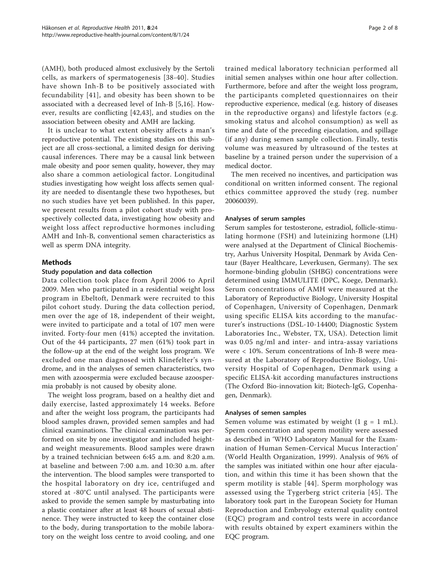(AMH), both produced almost exclusively by the Sertoli cells, as markers of spermatogenesis [[38](#page-7-0)-[40\]](#page-7-0). Studies have shown Inh-B to be positively associated with fecundability [[41\]](#page-7-0), and obesity has been shown to be associated with a decreased level of Inh-B [[5,](#page-6-0)[16](#page-7-0)]. However, results are conflicting [[42,43](#page-7-0)], and studies on the association between obesity and AMH are lacking.

It is unclear to what extent obesity affects a man's reproductive potential. The existing studies on this subject are all cross-sectional, a limited design for deriving causal inferences. There may be a causal link between male obesity and poor semen quality, however, they may also share a common aetiological factor. Longitudinal studies investigating how weight loss affects semen quality are needed to disentangle these two hypotheses, but no such studies have yet been published. In this paper, we present results from a pilot cohort study with prospectively collected data, investigating how obesity and weight loss affect reproductive hormones including AMH and Inh-B, conventional semen characteristics as well as sperm DNA integrity.

## Methods

## Study population and data collection

Data collection took place from April 2006 to April 2009. Men who participated in a residential weight loss program in Ebeltoft, Denmark were recruited to this pilot cohort study. During the data collection period, men over the age of 18, independent of their weight, were invited to participate and a total of 107 men were invited. Forty-four men (41%) accepted the invitation. Out of the 44 participants, 27 men (61%) took part in the follow-up at the end of the weight loss program. We excluded one man diagnosed with Klinefelter's syndrome, and in the analyses of semen characteristics, two men with azoospermia were excluded because azoospermia probably is not caused by obesity alone.

The weight loss program, based on a healthy diet and daily exercise, lasted approximately 14 weeks. Before and after the weight loss program, the participants had blood samples drawn, provided semen samples and had clinical examinations. The clinical examination was performed on site by one investigator and included heightand weight measurements. Blood samples were drawn by a trained technician between 6:45 a.m. and 8:20 a.m. at baseline and between 7:00 a.m. and 10:30 a.m. after the intervention. The blood samples were transported to the hospital laboratory on dry ice, centrifuged and stored at -80°C until analysed. The participants were asked to provide the semen sample by masturbating into a plastic container after at least 48 hours of sexual abstinence. They were instructed to keep the container close to the body, during transportation to the mobile laboratory on the weight loss centre to avoid cooling, and one trained medical laboratory technician performed all initial semen analyses within one hour after collection. Furthermore, before and after the weight loss program, the participants completed questionnaires on their reproductive experience, medical (e.g. history of diseases in the reproductive organs) and lifestyle factors (e.g. smoking status and alcohol consumption) as well as time and date of the preceding ejaculation, and spillage (if any) during semen sample collection. Finally, testis volume was measured by ultrasound of the testes at baseline by a trained person under the supervision of a medical doctor.

The men received no incentives, and participation was conditional on written informed consent. The regional ethics committee approved the study (reg. number 20060039).

## Analyses of serum samples

Serum samples for testosterone, estradiol, follicle-stimulating hormone (FSH) and luteinizing hormone (LH) were analysed at the Department of Clinical Biochemistry, Aarhus University Hospital, Denmark by Avida Centaur (Bayer Healthcare, Leverkusen, Germany). The sex hormone-binding globulin (SHBG) concentrations were determined using IMMULITE (DPC, Koege, Denmark). Serum concentrations of AMH were measured at the Laboratory of Reproductive Biology, University Hospital of Copenhagen, University of Copenhagen, Denmark using specific ELISA kits according to the manufacturer's instructions (DSL-10-14400; Diagnostic System Laboratories Inc., Webster, TX, USA). Detection limit was 0.05 ng/ml and inter- and intra-assay variations were < 10%. Serum concentrations of Inh-B were measured at the Laboratory of Reproductive Biology, University Hospital of Copenhagen, Denmark using a specific ELISA-kit according manufactures instructions (The Oxford Bio-innovation kit; Biotech-IgG, Copenhagen, Denmark).

## Analyses of semen samples

Semen volume was estimated by weight  $(1 \text{ g} = 1 \text{ mL})$ . Sperm concentration and sperm motility were assessed as described in 'WHO Laboratory Manual for the Examination of Human Semen-Cervical Mucus Interaction' (World Health Organization, 1999). Analysis of 96% of the samples was initiated within one hour after ejaculation, and within this time it has been shown that the sperm motility is stable [[44\]](#page-7-0). Sperm morphology was assessed using the Tygerberg strict criteria [[45](#page-7-0)]. The laboratory took part in the European Society for Human Reproduction and Embryology external quality control (EQC) program and control tests were in accordance with results obtained by expert examiners within the EQC program.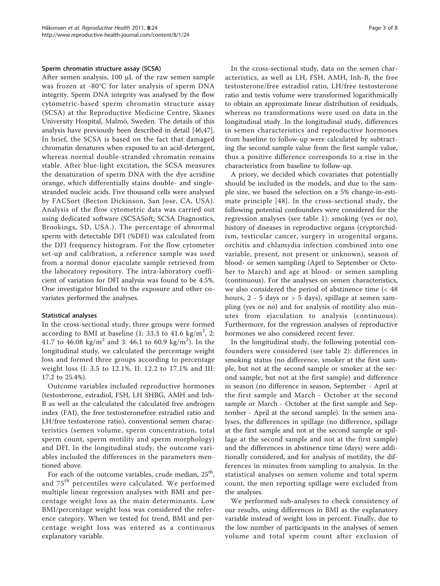## Sperm chromatin structure assay (SCSA)

After semen analysis, 100 μL of the raw semen sample was frozen at -80°C for later analysis of sperm DNA integrity. Sperm DNA integrity was analysed by the flow cytometric-based sperm chromatin structure assay (SCSA) at the Reproductive Medicine Centre, Skanes University Hospital, Malmö, Sweden. The details of this analysis have previously been described in detail [\[46,47](#page-7-0)]. In brief, the SCSA is based on the fact that damaged chromatin denatures when exposed to an acid-detergent, whereas normal double-stranded chromatin remains stable. After blue-light excitation, the SCSA measures the denaturation of sperm DNA with the dye acridine orange, which differentially stains double- and singlestranded nucleic acids. Five thousand cells were analysed by FACSort (Becton Dickinson, San Jose, CA, USA). Analysis of the flow cytometric data was carried out using dedicated software (SCSASoft; SCSA Diagnostics, Brookings, SD, USA.). The percentage of abnormal sperm with detectable DFI (%DFI) was calculated from the DFI frequency histogram. For the flow cytometer set-up and calibration, a reference sample was used from a normal donor ejaculate sample retrieved from the laboratory repository. The intra-laboratory coefficient of variation for DFI analysis was found to be 4.5%. One investigator blinded to the exposure and other covariates performed the analyses.

## Statistical analyses

In the cross-sectional study, three groups were formed according to BMI at baseline (1: 33.3 to 41.6 kg/m<sup>2</sup>, 2: 41.7 to 46.08 kg/m<sup>2</sup> and 3: 46.1 to 60.9 kg/m<sup>2</sup>). In the longitudinal study, we calculated the percentage weight loss and formed three groups according to percentage weight loss (I: 3.5 to 12.1%, II: 12.2 to 17.1% and III: 17.2 to 25.4%).

Outcome variables included reproductive hormones (testosterone, estradiol, FSH, LH SHBG, AMH and Inh-B as well as the calculated the calculated free androgen index (FAI), the free testosterone⁄free estradiol ratio and LH/free testosterone ratio), conventional semen characteristics (semen volume, sperm concentration, total sperm count, sperm motility and sperm morphology) and DFI. In the longitudinal study, the outcome variables included the differences in the parameters mentioned above.

For each of the outcome variables, crude median,  $25<sup>th</sup>$ , and 75<sup>th</sup> percentiles were calculated. We performed multiple linear regression analyses with BMI and percentage weight loss as the main determinants. Low BMI/percentage weight loss was considered the reference category. When we tested for trend, BMI and percentage weight loss was entered as a continuous explanatory variable.

In the cross-sectional study, data on the semen characteristics, as well as LH, FSH, AMH, Inh-B, the free testosterone/free estradiol ratio, LH/free testosterone ratio and testis volume were transformed logarithmically to obtain an approximate linear distribution of residuals, whereas no transformations were used on data in the longitudinal study. In the longitudinal study, differences in semen characteristics and reproductive hormones from baseline to follow-up were calculated by subtracting the second sample value from the first sample value, thus a positive difference corresponds to a rise in the characteristics from baseline to follow-up.

A priory, we decided which covariates that potentially should be included in the models, and due to the sample size, we based the selection on a 5% change-in-estimate principle [[48](#page-7-0)]. In the cross-sectional study, the following potential confounders were considered for the regression analyses (see table [1](#page-3-0)): smoking (yes or no), history of diseases in reproductive organs (cryptorchidism, testicular cancer, surgery in urogenital organs, orchitis and chlamydia infection combined into one variable, present, not present or unknown), season of blood- or semen sampling (April to September or October to March) and age at blood- or semen sampling (continuous). For the analyses on semen characteristics, we also considered the period of abstinence time (< 48 hours,  $2 - 5$  days or  $> 5$  days), spillage at semen sampling (yes or no) and for analysis of motility also minutes from ejaculation to analysis (continuous). Furthermore, for the regression analyses of reproductive hormones we also considered recent fever.

In the longitudinal study, the following potential confounders were considered (see table [2](#page-5-0)): differences in smoking status (no difference, smoker at the first sample, but not at the second sample or smoker at the second sample, but not at the first sample) and difference in season (no difference in season, September - April at the first sample and March - October at the second sample or March - October at the first sample and September - April at the second sample). In the semen analyses, the differences in spillage (no difference, spillage at the first sample and not at the second sample or spillage at the second sample and not at the first sample) and the differences in abstinence time (days) were additionally considered, and for analysis of motility, the differences in minutes from sampling to analysis. In the statistical analyses on semen volume and total sperm count, the men reporting spillage were excluded from the analyses.

We performed sub-analyses to check consistency of our results, using differences in BMI as the explanatory variable instead of weight loss in percent. Finally, due to the low number of participants in the analyses of semen volume and total sperm count after exclusion of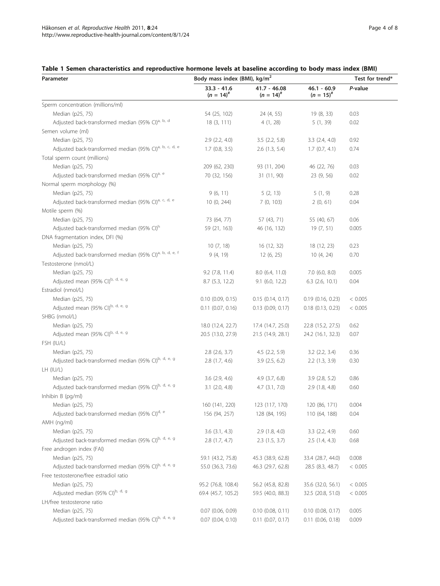## <span id="page-3-0"></span>Table 1 Semen characteristics and reproductive hormone levels at baseline according to body mass index (BMI)

| Parameter                                                          | Body mass index (BMI), kg/m <sup>2</sup> | Test for trend*                  |                                 |         |
|--------------------------------------------------------------------|------------------------------------------|----------------------------------|---------------------------------|---------|
|                                                                    | $33.3 - 41.6$<br>$(n = 14)^{#}$          | $41.7 - 46.08$<br>$(n = 14)^{#}$ | $46.1 - 60.9$<br>$(n = 15)^{#}$ | P-value |
| Sperm concentration (millions/ml)                                  |                                          |                                  |                                 |         |
| Median (p25, 75)                                                   | 54 (25, 102)                             | 24 (4, 55)                       | 19 (8, 33)                      | 0.03    |
| Adjusted back-transformed median (95% CI) <sup>a, b, d</sup>       | 18(3, 111)                               | 4(1, 28)                         | 5(1, 39)                        | 0.02    |
| Semen volume (ml)                                                  |                                          |                                  |                                 |         |
| Median (p25, 75)                                                   | $2.9$ $(2.2, 4.0)$                       | $3.5$ $(2.2, 5.8)$               | $3.3$ $(2.4, 4.0)$              | 0.92    |
| Adjusted back-transformed median (95% CI) <sup>a, b, c, d, e</sup> | 1.7(0.8, 3.5)                            | $2.6$ $(1.3, 5.4)$               | 1.7(0.7, 4.1)                   | 0.74    |
| Total sperm count (millions)                                       |                                          |                                  |                                 |         |
| Median (p25, 75)                                                   | 209 (62, 230)                            | 93 (11, 204)                     | 46 (22, 76)                     | 0.03    |
| Adjusted back-transformed median (95% CI) <sup>a, e</sup>          | 70 (32, 156)                             | 31 (11, 90)                      | 23 (9, 56)                      | 0.02    |
| Normal sperm morphology (%)                                        |                                          |                                  |                                 |         |
| Median (p25, 75)                                                   | 9(6, 11)                                 | 5(2, 13)                         | 5(1, 9)                         | 0.28    |
| Adjusted back-transformed median (95% CI) <sup>a, c, d, e</sup>    | 10(0, 244)                               | 7(0, 103)                        | 2(0, 61)                        | 0.04    |
| Motile sperm (%)                                                   |                                          |                                  |                                 |         |
| Median (p25, 75)                                                   | 73 (64, 77)                              | 57 (43, 71)                      | 55 (40, 67)                     | 0.06    |
| Adjusted back-transformed median (95% CI)h                         | 59 (21, 163)                             | 46 (16, 132)                     | 19(7, 51)                       | 0.005   |
| DNA fragmentation index, DFI (%)                                   |                                          |                                  |                                 |         |
| Median (p25, 75)                                                   | 10(7, 18)                                | 16 (12, 32)                      | 18 (12, 23)                     | 0.23    |
| Adjusted back-transformed median (95% CI) <sup>a, b, d, e, f</sup> | 9(4, 19)                                 | 12(6, 25)                        | 10(4, 24)                       | 0.70    |
| Testosterone (nmol/L)                                              |                                          |                                  |                                 |         |
| Median (p25, 75)                                                   | 9.2 (7.8, 11.4)                          | 8.0 (6.4, 11.0)                  | $7.0$ (6.0, 8.0)                | 0.005   |
| Adjusted mean (95% CI) <sup>b, d, e, g</sup>                       | 8.7(5.3, 12.2)                           | $9.1$ (6.0, 12.2)                | $6.3$ (2.6, 10.1)               | 0.04    |
| Estradiol (nmol/L)                                                 |                                          |                                  |                                 |         |
| Median (p25, 75)                                                   | $0.10$ $(0.09, 0.15)$                    | 0.15(0.14, 0.17)                 | $0.19$ $(0.16, 0.23)$           | < 0.005 |
| Adjusted mean (95% CI)b, d, e, g                                   | $0.11$ $(0.07, 0.16)$                    | $0.13$ (0.09, 0.17)              | $0.18$ $(0.13, 0.23)$           | < 0.005 |
| SHBG (nmol/L)                                                      |                                          |                                  |                                 |         |
| Median (p25, 75)                                                   | 18.0 (12.4, 22.7)                        | 17.4 (14.7, 25.0)                | 22.8 (15.2, 27.5)               | 0.62    |
| Adjusted mean (95% CI) <sup>b, d, e, g</sup>                       | 20.5 (13.0, 27.9)                        | 21.5 (14.9, 28.1)                | 24.2 (16.1, 32.3)               | 0.07    |
| FSH (IU/L)                                                         |                                          |                                  |                                 |         |
| Median (p25, 75)                                                   | $2.8$ $(2.6, 3.7)$                       | $4.5$ $(2.2, 5.9)$               | $3.2$ (2.2, 3.4)                | 0.36    |
| Adjusted back-transformed median (95% CI)b, d, e, g                | 2.8(1.7, 4.6)                            | 3.9(2.5, 6.2)                    | 2.2(1.3, 3.9)                   | 0.30    |
| $LH$ (IU/L)                                                        |                                          |                                  |                                 |         |
| Median (p25, 75)                                                   | $3.6$ $(2.9, 4.6)$                       | $4.9$ $(3.7, 6.8)$               | $3.9$ (2.8, 5.2)                | 0.86    |
| Adjusted back-transformed median (95% CI)b, d, e, g                | $3.1$ $(2.0, 4.8)$                       | $4.7$ $(3.1, 7.0)$               | $2.9$ (1.8, 4.8)                | 0.60    |
| Inhibin B (pg/ml)                                                  |                                          |                                  |                                 |         |
| Median (p25, 75)                                                   | 160 (141, 220)                           | 123 (117, 170)                   | 120 (86, 171)                   | 0.004   |
| Adjusted back-transformed median (95% CI) <sup>d, e</sup>          | 156 (94, 257)                            | 128 (84, 195)                    | 110 (64, 188)                   | 0.04    |
| AMH (ng/ml)                                                        |                                          |                                  |                                 |         |
| Median (p25, 75)                                                   | $3.6$ $(3.1, 4.3)$                       | 2.9(1.8, 4.0)                    | $3.3$ $(2.2, 4.9)$              | 0.60    |
| Adjusted back-transformed median (95% CI)b, d, e, g                | 2.8(1.7, 4.7)                            | 2.3(1.5, 3.7)                    | 2.5(1.4, 4.3)                   | 0.68    |
| Free androgen index (FAI)                                          |                                          |                                  |                                 |         |
| Median (p25, 75)                                                   | 59.1 (43.2, 75.8)                        | 45.3 (38.9, 62.8)                | 33.4 (28.7, 44.0)               | 0.008   |
| Adjusted back-transformed median (95% CI) <sup>b, d, e, g</sup>    | 55.0 (36.3, 73.6)                        | 46.3 (29.7, 62.8)                | 28.5 (8.3, 48.7)                | < 0.005 |
| Free testosterone/free estradiol ratio                             |                                          |                                  |                                 |         |
| Median (p25, 75)                                                   | 95.2 (76.8, 108.4)                       | 56.2 (45.8, 82.8)                | 35.6 (32.0, 56.1)               | < 0.005 |
| Adjusted median (95% CI)b, d, g                                    | 69.4 (45.7, 105.2)                       | 59.5 (40.0, 88.3)                | 32.5 (20.8, 51.0)               | < 0.005 |
| LH/free testosterone ratio                                         |                                          |                                  |                                 |         |
| Median (p25, 75)                                                   | $0.07$ $(0.06, 0.09)$                    | $0.10$ $(0.08, 0.11)$            | $0.10$ $(0.08, 0.17)$           | 0.005   |
| Adjusted back-transformed median (95% CI)b, d, e, g                | $0.07$ $(0.04, 0.10)$                    | $0.11$ $(0.07, 0.17)$            | $0.11$ $(0.06, 0.18)$           | 0.009   |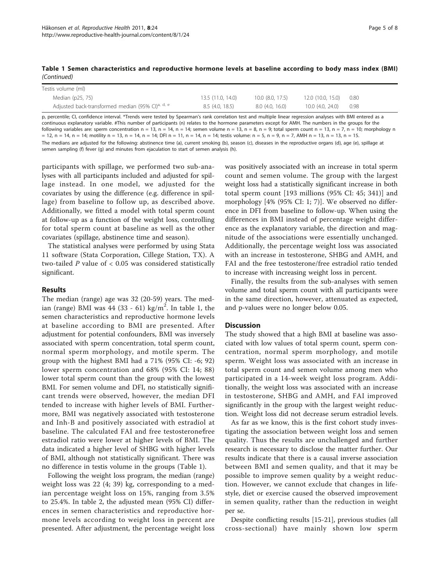|             | Table 1 Semen characteristics and reproductive hormone levels at baseline according to body mass index (BMI) |  |  |  |  |  |
|-------------|--------------------------------------------------------------------------------------------------------------|--|--|--|--|--|
| (Continued) |                                                                                                              |  |  |  |  |  |

| Testis volume (ml)                                           |                   |                    |                      |      |  |
|--------------------------------------------------------------|-------------------|--------------------|----------------------|------|--|
| Median (p25, 75)                                             | 13.5 (11.0, 14.0) | $10.0$ (8.0, 17.5) | 12.0 (10.0, 15.0)    | 0.80 |  |
| Adjusted back-transformed median (95% CI) <sup>a, d, e</sup> | 8.5(4.0, 18.5)    | 8.0(4.0, 16.0)     | $10.0$ $(4.0, 24.0)$ | 0.98 |  |

p, percentile; CI, confidence interval. \*Trends were tested by Spearman's rank correlation test and multiple linear regression analyses with BMI entered as a continuous explanatory variable. #This number of participants (n) relates to the hormone parameters except for AMH. The numbers in the groups for the following variables are: sperm concentration  $n = 13$ ,  $n = 14$ ,  $n = 14$ ; semen volume  $n = 13$ ,  $n = 8$ ,  $n = 9$ ; total sperm count  $n = 13$ ,  $n = 7$ ,  $n = 10$ ; morphology n  $= 12$ , n  $= 14$ , n  $= 14$ ; motility n  $= 13$ , n  $= 14$ , n  $= 14$ ; DFI n  $= 11$ , n  $= 14$ , n  $= 14$ ; testis volume: n  $= 5$ , n  $= 9$ , n  $= 7$ , AMH n  $= 13$ , n  $= 13$ , n  $= 15$ . The medians are adjusted for the following: abstinence time (a), current smoking (b), season (c), diseases in the reproductive organs (d), age (e), spillage at semen sampling (f) fever (g) and minutes from ejaculation to start of semen analysis (h).

participants with spillage, we performed two sub-analyses with all participants included and adjusted for spillage instead. In one model, we adjusted for the covariates by using the difference (e.g. difference in spillage) from baseline to follow up, as described above. Additionally, we fitted a model with total sperm count at follow-up as a function of the weight loss, controlling for total sperm count at baseline as well as the other covariates (spillage, abstinence time and season).

The statistical analyses were performed by using Stata 11 software (Stata Corporation, Cillege Station, TX). A two-tailed  $P$  value of  $< 0.05$  was considered statistically significant.

## Results

The median (range) age was 32 (20-59) years. The median (range) BMI was  $44$  (33 - 61) kg/m<sup>2</sup>. In table [1,](#page-3-0) the semen characteristics and reproductive hormone levels at baseline according to BMI are presented. After adjustment for potential confounders, BMI was inversely associated with sperm concentration, total sperm count, normal sperm morphology, and motile sperm. The group with the highest BMI had a 71% (95% CI: -6; 92) lower sperm concentration and 68% (95% CI: 14; 88) lower total sperm count than the group with the lowest BMI. For semen volume and DFI, no statistically significant trends were observed, however, the median DFI tended to increase with higher levels of BMI. Furthermore, BMI was negatively associated with testosterone and Inh-B and positively associated with estradiol at baseline. The calculated FAI and free testosterone⁄free estradiol ratio were lower at higher levels of BMI. The data indicated a higher level of SHBG with higher levels of BMI, although not statistically significant. There was no difference in testis volume in the groups (Table [1](#page-3-0)).

Following the weight loss program, the median (range) weight loss was 22 (4; 39) kg, corresponding to a median percentage weight loss on 15%, ranging from 3.5% to 25.4%. In table [2,](#page-5-0) the adjusted mean (95% CI) differences in semen characteristics and reproductive hormone levels according to weight loss in percent are presented. After adjustment, the percentage weight loss was positively associated with an increase in total sperm count and semen volume. The group with the largest weight loss had a statistically significant increase in both total sperm count [193 millions (95% CI: 45; 341)] and morphology [4% (95% CI: 1; 7)]. We observed no difference in DFI from baseline to follow-up. When using the differences in BMI instead of percentage weight difference as the explanatory variable, the direction and magnitude of the associations were essentially unchanged. Additionally, the percentage weight loss was associated with an increase in testosterone, SHBG and AMH, and FAI and the free testosterone/free estradiol ratio tended to increase with increasing weight loss in percent.

Finally, the results from the sub-analyses with semen volume and total sperm count with all participants were in the same direction, however, attenuated as expected, and p-values were no longer below 0.05.

## Discussion

The study showed that a high BMI at baseline was associated with low values of total sperm count, sperm concentration, normal sperm morphology, and motile sperm. Weight loss was associated with an increase in total sperm count and semen volume among men who participated in a 14-week weight loss program. Additionally, the weight loss was associated with an increase in testosterone, SHBG and AMH, and FAI improved significantly in the group with the largest weight reduction. Weight loss did not decrease serum estradiol levels.

As far as we know, this is the first cohort study investigating the association between weight loss and semen quality. Thus the results are unchallenged and further research is necessary to disclose the matter further. Our results indicate that there is a causal inverse association between BMI and semen quality, and that it may be possible to improve semen quality by a weight reduction. However, we cannot exclude that changes in lifestyle, diet or exercise caused the observed improvement in semen quality, rather than the reduction in weight per se.

Despite conflicting results [\[15](#page-7-0)-[21\]](#page-7-0), previous studies (all cross-sectional) have mainly shown low sperm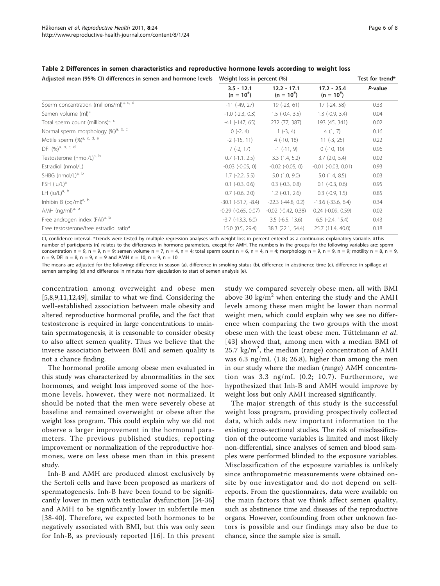<span id="page-5-0"></span>Table 2 Differences in semen characteristics and reproductive hormone levels according to weight loss

| Adjusted mean (95% CI) differences in semen and hormone levels | Weight loss in percent (%)     | Test for trend*                 |                                 |         |
|----------------------------------------------------------------|--------------------------------|---------------------------------|---------------------------------|---------|
|                                                                | $3.5 - 12.1$<br>$(n = 10^{t})$ | $12.2 - 17.1$<br>$(n = 10^{t})$ | $17.2 - 25.4$<br>$(n = 10^{n})$ | P-value |
| Sperm concentration (millions/ml) <sup>a, c, d</sup>           | $-11$ $(-49, 27)$              | $19(-23, 61)$                   | $17(-24, 58)$                   | 0.33    |
| Semen volume (ml) <sup>c</sup>                                 | $-1.0$ $(-2.3, 0.3)$           | $1.5$ (-0.4, 3.5)               | $1.3$ (-0.9, 3.4)               | 0.04    |
| Total sperm count (millions) <sup>a, c</sup>                   | $-41$ $(-147, 65)$             | 232 (77, 387)                   | 193 (45, 341)                   | 0.02    |
| Normal sperm morphology (%) <sup>a, b, c</sup>                 | $0(-2, 4)$                     | $1(-3, 4)$                      | 4(1, 7)                         | 0.16    |
| Motile sperm (%) <sup>a, c, d, e</sup>                         | $-2$ ( $-15$ , 11)             | $4(-10, 18)$                    | $11(-3, 25)$                    | 0.22    |
| DFI (%) <sup>a, b, c, d</sup>                                  | $7(-2, 17)$                    | $-1$ $(-11, 9)$                 | $0$ ( $-10, 10$ )               | 0.96    |
| Testosterone (nmol/L) <sup>a, b</sup>                          | $0.7$ (-1.1, 2.5)              | 3.3(1.4, 5.2)                   | $3.7$ (2.0, 5.4)                | 0.02    |
| Estradiol (nmol/L)                                             | $-0.03$ $(-0.05, 0)$           | $-0.02$ $(-0.05, 0)$            | $-0.01$ $(-0.03, 0.01)$         | 0.93    |
| SHBG (nmol/L) <sup>a, b</sup>                                  | $1.7$ (-2.2, 5.5)              | 5.0(1.0, 9.0)                   | 5.0(1.4, 8.5)                   | 0.03    |
| $FSH$ (iu/L) <sup>a</sup>                                      | $0.1$ (-0.3, 0.6)              | $0.3$ (-0.3, 0.8)               | $0.1$ ( $-0.3$ , $0.6$ )        | 0.95    |
| $LH$ (iu/L) <sup>a, b</sup>                                    | $0.7$ (-0.6, 2.0)              | $1.2(-0.1, 2.6)$                | $0.3$ (-0.9, 1.5)               | 0.85    |
| Inhibin B (pg/ml) <sup>a, b</sup>                              | $-30.1$ $(-51.7, -8.4)$        | $-22.3$ ( $-44.8$ , 0.2)        | $-13.6$ $(-33.6, 6.4)$          | 0.34    |
| AMH (ng/ml) <sup>a, b</sup>                                    | $-0.29$ $(-0.65, 0.07)$        | $-0.02$ $(-0.42, 0.38)$         | $0.24$ (-0.09, 0.59)            | 0.02    |
| Free androgen index (FAI) <sup>a, b</sup>                      | $-3.7$ $(-13.3, 6.0)$          | $3.5$ (-6.5, 13.6)              | $6.5$ (-2.4, 15.4)              | 0.43    |
| Free testosterone/free estradiol ratio <sup>a</sup>            | 15.0 (0.5, 29.4)               | 38.3 (22.1, 54.4)               | 25.7 (11.4, 40.0)               | 0.18    |

CI, confidence interval. \*Trends were tested by multiple regression analyses with weight loss in percent entered as a continuous explanatory variable. #This number of participants (n) relates to the differences in hormone parameters, except for AMH. The numbers in the groups for the following variables are: sperm concentration  $n = 9$ ,  $n = 9$ ; semen volume  $n = 7$ ,  $n = 4$ ,  $n = 4$ ; total sperm count  $n = 6$ ,  $n = 4$ ,  $n = 4$ ; morphology  $n = 9$ ,  $n = 9$ ; motility  $n = 8$ ,  $n = 9$ ;  $n = 9$ , DFI  $n = 8$ ,  $n = 9$ ,  $n = 9$  and AMH  $n = 10$ ,  $n = 9$ ,  $n = 10$ 

The means are adjusted for the following: difference in season (a), difference in smoking status (b), difference in abstinence time (c), difference in spillage at semen sampling (d) and difference in minutes from ejaculation to start of semen analysis (e).

concentration among overweight and obese men [[5,8,9,11,12,](#page-6-0)[49\]](#page-7-0), similar to what we find. Considering the well-established association between male obesity and altered reproductive hormonal profile, and the fact that testosterone is required in large concentrations to maintain spermatogenesis, it is reasonable to consider obesity to also affect semen quality. Thus we believe that the inverse association between BMI and semen quality is not a chance finding.

The hormonal profile among obese men evaluated in this study was characterized by abnormalities in the sex hormones, and weight loss improved some of the hormone levels, however, they were not normalized. It should be noted that the men were severely obese at baseline and remained overweight or obese after the weight loss program. This could explain why we did not observe a larger improvement in the hormonal parameters. The previous published studies, reporting improvement or normalization of the reproductive hormones, were on less obese men than in this present study.

Inh-B and AMH are produced almost exclusively by the Sertoli cells and have been proposed as markers of spermatogenesis. Inh-B have been found to be significantly lower in men with testicular dysfunction [[34-36](#page-7-0)] and AMH to be significantly lower in subfertile men [[38](#page-7-0)-[40](#page-7-0)]. Therefore, we expected both hormones to be negatively associated with BMI, but this was only seen for Inh-B, as previously reported [[16](#page-7-0)]. In this present

study we compared severely obese men, all with BMI above 30 kg/ $m^2$  when entering the study and the AMH levels among these men might be lower than normal weight men, which could explain why we see no difference when comparing the two groups with the most obese men with the least obese men. Tüttelmann et al. [[43\]](#page-7-0) showed that, among men with a median BMI of  $25.7 \text{ kg/m}^2$ , the median (range) concentration of AMH was 6.3 ng/mL (1.8; 26.8), higher than among the men in our study where the median (range) AMH concentration was 3.3 ng/mL (0.2; 10.7). Furthermore, we hypothesized that Inh-B and AMH would improve by weight loss but only AMH increased significantly.

The major strength of this study is the successful weight loss program, providing prospectively collected data, which adds new important information to the existing cross-sectional studies. The risk of misclassification of the outcome variables is limited and most likely non-differential, since analyses of semen and blood samples were performed blinded to the exposure variables. Misclassification of the exposure variables is unlikely since anthropometric measurements were obtained onsite by one investigator and do not depend on selfreports. From the questionnaires, data were available on the main factors that we think affect semen quality, such as abstinence time and diseases of the reproductive organs. However, confounding from other unknown factors is possible and our findings may also be due to chance, since the sample size is small.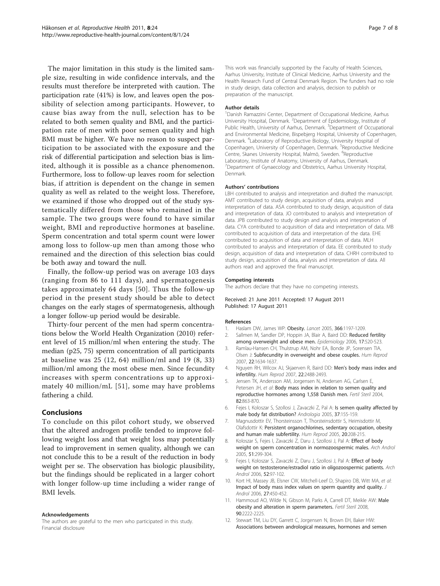<span id="page-6-0"></span>The major limitation in this study is the limited sample size, resulting in wide confidence intervals, and the results must therefore be interpreted with caution. The participation rate (41%) is low, and leaves open the possibility of selection among participants. However, to cause bias away from the null, selection has to be related to both semen quality and BMI, and the participation rate of men with poor semen quality and high BMI must be higher. We have no reason to suspect participation to be associated with the exposure and the risk of differential participation and selection bias is limited, although it is possible as a chance phenomenon. Furthermore, loss to follow-up leaves room for selection bias, if attrition is dependent on the change in semen quality as well as related to the weight loss. Therefore, we examined if those who dropped out of the study systematically differed from those who remained in the sample. The two groups were found to have similar weight, BMI and reproductive hormones at baseline. Sperm concentration and total sperm count were lower among loss to follow-up men than among those who remained and the direction of this selection bias could be both away and toward the null.

Finally, the follow-up period was on average 103 days (ranging from 86 to 111 days), and spermatogenesis takes approximately 64 days [[50](#page-7-0)]. Thus the follow-up period in the present study should be able to detect changes on the early stages of spermatogenesis, although a longer follow-up period would be desirable.

Thirty-four percent of the men had sperm concentrations below the World Health Organization (2010) referent level of 15 million/ml when entering the study. The median (p25, 75) sperm concentration of all participants at baseline was 25 (12, 64) million/ml and 19 (8, 33) million/ml among the most obese men. Since fecundity increases with sperm concentrations up to approximately 40 million/mL [\[51\]](#page-7-0), some may have problems fathering a child.

## Conclusions

To conclude on this pilot cohort study, we observed that the altered androgen profile tended to improve following weight loss and that weight loss may potentially lead to improvement in semen quality, although we can not conclude this to be a result of the reduction in body weight per se. The observation has biologic plausibility, but the findings should be replicated in a larger cohort with longer follow-up time including a wider range of BMI levels.

#### Acknowledgements

The authors are grateful to the men who participated in this study. Financial disclosure

This work was financially supported by the Faculty of Health Sciences, Aarhus University, Institute of Clinical Medicine, Aarhus University and the Health Research Fund of Central Denmark Region. The funders had no role in study design, data collection and analysis, decision to publish or preparation of the manuscript.

### Author details

<sup>1</sup> Danish Ramazzini Center, Department of Occupational Medicine, Aarhus University Hospital, Denmark. <sup>2</sup> Department of Epidemiology, Institute of Public Health, University of Aarhus, Denmark.<sup>3</sup> Department of Occupational and Environmental Medicine, Bispebjerg Hospital, University of Copenhagen, Denmark. <sup>4</sup> Laboratory of Reproductive Biology, University Hospital of Copenhagen, University of Copenhagen, Denmark. <sup>5</sup>Reproductive Medicine Centre, Skanes University Hospital, Malmö, Sweden. <sup>6</sup>Reproductive Laboratory, Institute of Anatomy, University of Aarhus, Denmark. <sup>7</sup>Department of Gynaecology and Obstetrics, Aarhus University Hospital Denmark.

#### Authors' contributions

LBH contributed to analysis and interpretation and drafted the manuscript. AMT contributed to study design, acquisition of data, analysis and interpretation of data. ASA contributed to study design, acquisition of data and interpretation of data. JO contributed to analysis and interpretation of data. JPB contributed to study design and analysis and interpretation of data. CYA contributed to acquisition of data and interpretation of data. MB contributed to acquisition of data and interpretation of the data. EHE contributed to acquisition of data and interpretation of data. MLH contributed to analysis and interpretation of data. EE contributed to study design, acquisition of data and interpretation of data. CHRH contributed to study design, acquisition of data, analysis and interpretation of data. All authors read and approved the final manuscript.

#### Competing interests

The authors declare that they have no competing interests.

Received: 21 June 2011 Accepted: 17 August 2011 Published: 17 August 2011

#### References

- 1. Haslam DW, James WP: [Obesity.](http://www.ncbi.nlm.nih.gov/pubmed/16198769?dopt=Abstract) Lancet 2005, 366:1197-1209.
- 2. Sallmen M, Sandler DP, Hoppin JA, Blair A, Baird DD: [Reduced fertility](http://www.ncbi.nlm.nih.gov/pubmed/16837825?dopt=Abstract) [among overweight and obese men.](http://www.ncbi.nlm.nih.gov/pubmed/16837825?dopt=Abstract) Epidemiology 2006, 17:520-523.
- 3. Ramlau-Hansen CH, Thulstrup AM, Nohr EA, Bonde JP, Sorensen TIA, Olsen J: [Subfecundity in overweight and obese couples.](http://www.ncbi.nlm.nih.gov/pubmed/17344224?dopt=Abstract) Hum Reprod 2007, 22:1634-1637.
- 4. Nguyen RH, Wilcox AJ, Skjaerven R, Baird DD: Men'[s body mass index and](http://www.ncbi.nlm.nih.gov/pubmed/17636282?dopt=Abstract) [infertility.](http://www.ncbi.nlm.nih.gov/pubmed/17636282?dopt=Abstract) Hum Reprod 2007, 22:2488-2493.
- 5. Jensen TK, Andersson AM, Jorgensen N, Andersen AG, Carlsen E, Petersen JH, et al: [Body mass index in relation to semen quality and](http://www.ncbi.nlm.nih.gov/pubmed/15482761?dopt=Abstract) [reproductive hormones among 1,558 Danish men.](http://www.ncbi.nlm.nih.gov/pubmed/15482761?dopt=Abstract) Fertil Steril 2004, 82:863-870.
- 6. Fejes I, Koloszar S, Szollosi J, Zavaczki Z, Pal A: [Is semen quality affected by](http://www.ncbi.nlm.nih.gov/pubmed/16266392?dopt=Abstract) [male body fat distribution?](http://www.ncbi.nlm.nih.gov/pubmed/16266392?dopt=Abstract) Andrologia 2005, 37:155-159.
- 7. Magnusdottir EV, Thorsteinsson T, Thorsteinsdottir S, Heimisdottir M, Olafsdottir K: [Persistent organochlorines, sedentary occupation, obesity](http://www.ncbi.nlm.nih.gov/pubmed/15567884?dopt=Abstract) [and human male subfertility.](http://www.ncbi.nlm.nih.gov/pubmed/15567884?dopt=Abstract) Hum Reprod 2005, 20:208-215.
- 8. Koloszar S, Fejes I, Zavaczki Z, Daru J, Szollosi J, Pal A: [Effect of body](http://www.ncbi.nlm.nih.gov/pubmed/16036638?dopt=Abstract) [weight on sperm concentration in normozoospermic males.](http://www.ncbi.nlm.nih.gov/pubmed/16036638?dopt=Abstract) Arch Androl 2005, 51:299-304.
- 9. Fejes I, Koloszar S, Zavaczki Z, Daru J, Szollosi J, Pal A: [Effect of body](http://www.ncbi.nlm.nih.gov/pubmed/16443585?dopt=Abstract) [weight on testosterone/estradiol ratio in oligozoospermic patients.](http://www.ncbi.nlm.nih.gov/pubmed/16443585?dopt=Abstract) Arch Androl 2006, 52:97-102.
- 10. Kort HI, Massey JB, Elsner CW, Mitchell-Leef D, Shapiro DB, Witt MA, et al: [Impact of body mass index values on sperm quantity and quality.](http://www.ncbi.nlm.nih.gov/pubmed/16339454?dopt=Abstract) J Androl 2006, 27:450-452.
- 11. Hammoud AO, Wilde N, Gibson M, Parks A, Carrell DT, Meikle AW: [Male](http://www.ncbi.nlm.nih.gov/pubmed/18178190?dopt=Abstract) [obesity and alteration in sperm parameters.](http://www.ncbi.nlm.nih.gov/pubmed/18178190?dopt=Abstract) Fertil Steril 2008, 90:2222-2225.
- 12. Stewart TM, Liu DY, Garrett C, Jorgensen N, Brown EH, Baker HW: [Associations between andrological measures, hormones and semen](http://www.ncbi.nlm.nih.gov/pubmed/19351657?dopt=Abstract)